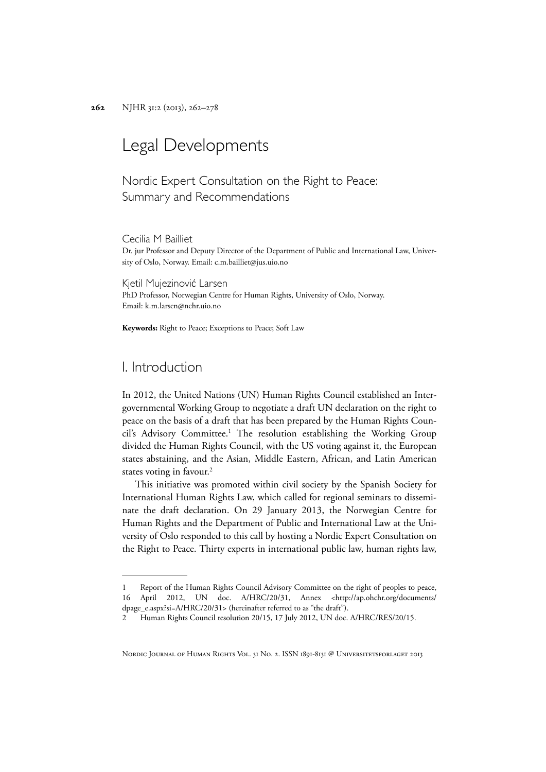# Legal Developments

Nordic Expert Consultation on the Right to Peace: Summary and Recommendations

Cecilia M Bailliet Dr. jur Professor and Deputy Director of the Department of Public and International Law, University of Oslo, Norway. Email: c.m.bailliet@jus.uio.no

Kjetil Mujezinović Larsen PhD Professor, Norwegian Centre for Human Rights, University of Oslo, Norway. Email: k.m.larsen@nchr.uio.no

**Keywords:** Right to Peace; Exceptions to Peace; Soft Law

## I. Introduction

In 2012, the United Nations (UN) Human Rights Council established an Intergovernmental Working Group to negotiate a draft UN declaration on the right to peace on the basis of a draft that has been prepared by the Human Rights Council's Advisory Committee.<sup>1</sup> The resolution establishing the Working Group divided the Human Rights Council, with the US voting against it, the European states abstaining, and the Asian, Middle Eastern, African, and Latin American states voting in favour.<sup>2</sup>

This initiative was promoted within civil society by the Spanish Society for International Human Rights Law, which called for regional seminars to disseminate the draft declaration. On 29 January 2013, the Norwegian Centre for Human Rights and the Department of Public and International Law at the University of Oslo responded to this call by hosting a Nordic Expert Consultation on the Right to Peace. Thirty experts in international public law, human rights law,

NORDIC JOURNAL OF HUMAN RIGHTS VOL. 31 NO. 2. ISSN 1891-8131 @ UNIVERSITETSFORLAGET 2013

<sup>1</sup> Report of the Human Rights Council Advisory Committee on the right of peoples to peace, 16 April 2012, UN doc. A/HRC/20/31, Annex <http://ap.ohchr.org/documents/ dpage\_e.aspx?si=A/HRC/20/31> (hereinafter referred to as "the draft").

<sup>2</sup> Human Rights Council resolution 20/15, 17 July 2012, UN doc. A/HRC/RES/20/15.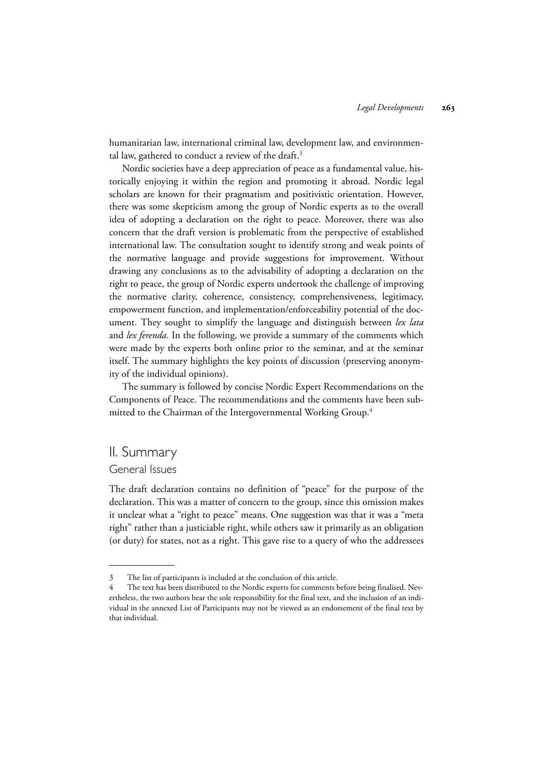humanitarian law, international criminal law, development law, and environmental law, gathered to conduct a review of the draft.<sup>3</sup>

Nordic societies have a deep appreciation of peace as a fundamental value, historically enjoying it within the region and promoting it abroad. Nordic legal scholars are known for their pragmatism and positivistic orientation. However, there was some skepticism among the group of Nordic experts as to the overall idea of adopting a declaration on the right to peace. Moreover, there was also concern that the draft version is problematic from the perspective of established international law. The consultation sought to identify strong and weak points of the normative language and provide suggestions for improvement. Without drawing any conclusions as to the advisability of adopting a declaration on the right to peace, the group of Nordic experts undertook the challenge of improving the normative clarity, coherence, consistency, comprehensiveness, legitimacy, empowerment function, and implementation/enforceability potential of the document. They sought to simplify the language and distinguish between *lex lata* and *lex ferenda*. In the following, we provide a summary of the comments which were made by the experts both online prior to the seminar, and at the seminar itself. The summary highlights the key points of discussion (preserving anonymity of the individual opinions).

The summary is followed by concise Nordic Expert Recommendations on the Components of Peace. The recommendations and the comments have been submitted to the Chairman of the Intergovernmental Working Group.<sup>4</sup>

## II. Summary

#### General Issues

The draft declaration contains no definition of "peace" for the purpose of the declaration. This was a matter of concern to the group, since this omission makes it unclear what a "right to peace" means. One suggestion was that it was a "meta right" rather than a justiciable right, while others saw it primarily as an obligation (or duty) for states, not as a right. This gave rise to a query of who the addressees

<sup>3</sup> The list of participants is included at the conclusion of this article.

<sup>4</sup> The text has been distributed to the Nordic experts for comments before being finalised. Nevertheless, the two authors bear the sole responsibility for the final text, and the inclusion of an individual in the annexed List of Participants may not be viewed as an endorsement of the final text by that individual.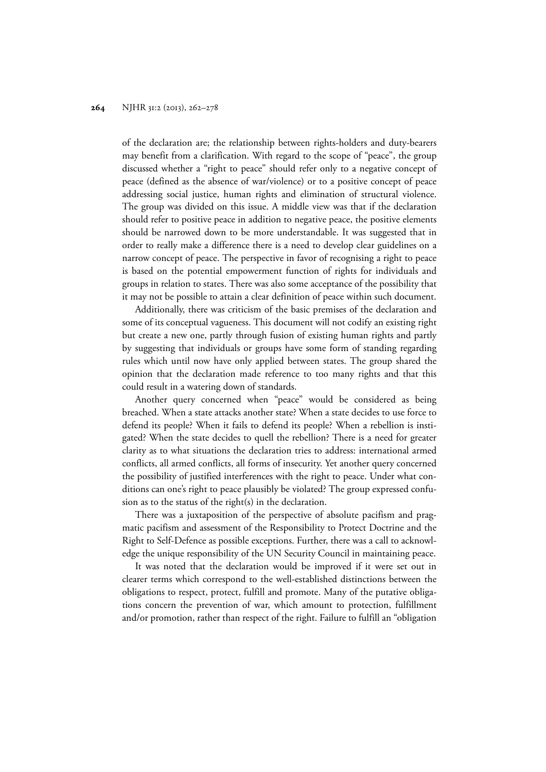of the declaration are; the relationship between rights-holders and duty-bearers may benefit from a clarification. With regard to the scope of "peace", the group discussed whether a "right to peace" should refer only to a negative concept of peace (defined as the absence of war/violence) or to a positive concept of peace addressing social justice, human rights and elimination of structural violence. The group was divided on this issue. A middle view was that if the declaration should refer to positive peace in addition to negative peace, the positive elements should be narrowed down to be more understandable. It was suggested that in order to really make a difference there is a need to develop clear guidelines on a narrow concept of peace. The perspective in favor of recognising a right to peace is based on the potential empowerment function of rights for individuals and groups in relation to states. There was also some acceptance of the possibility that it may not be possible to attain a clear definition of peace within such document.

Additionally, there was criticism of the basic premises of the declaration and some of its conceptual vagueness. This document will not codify an existing right but create a new one, partly through fusion of existing human rights and partly by suggesting that individuals or groups have some form of standing regarding rules which until now have only applied between states. The group shared the opinion that the declaration made reference to too many rights and that this could result in a watering down of standards.

Another query concerned when "peace" would be considered as being breached. When a state attacks another state? When a state decides to use force to defend its people? When it fails to defend its people? When a rebellion is instigated? When the state decides to quell the rebellion? There is a need for greater clarity as to what situations the declaration tries to address: international armed conflicts, all armed conflicts, all forms of insecurity. Yet another query concerned the possibility of justified interferences with the right to peace. Under what conditions can one's right to peace plausibly be violated? The group expressed confusion as to the status of the right(s) in the declaration.

There was a juxtaposition of the perspective of absolute pacifism and pragmatic pacifism and assessment of the Responsibility to Protect Doctrine and the Right to Self-Defence as possible exceptions. Further, there was a call to acknowledge the unique responsibility of the UN Security Council in maintaining peace.

It was noted that the declaration would be improved if it were set out in clearer terms which correspond to the well-established distinctions between the obligations to respect, protect, fulfill and promote. Many of the putative obligations concern the prevention of war, which amount to protection, fulfillment and/or promotion, rather than respect of the right. Failure to fulfill an "obligation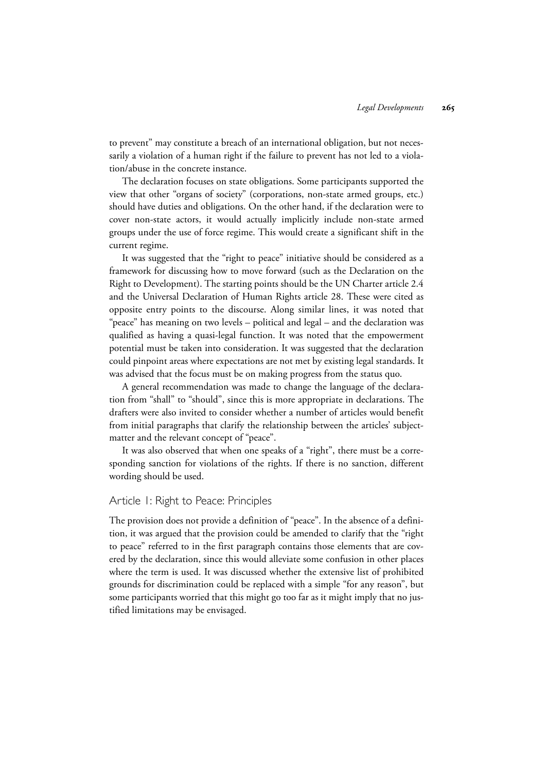to prevent" may constitute a breach of an international obligation, but not necessarily a violation of a human right if the failure to prevent has not led to a violation/abuse in the concrete instance.

The declaration focuses on state obligations. Some participants supported the view that other "organs of society" (corporations, non-state armed groups, etc.) should have duties and obligations. On the other hand, if the declaration were to cover non-state actors, it would actually implicitly include non-state armed groups under the use of force regime. This would create a significant shift in the current regime.

It was suggested that the "right to peace" initiative should be considered as a framework for discussing how to move forward (such as the Declaration on the Right to Development). The starting points should be the UN Charter article 2.4 and the Universal Declaration of Human Rights article 28. These were cited as opposite entry points to the discourse. Along similar lines, it was noted that "peace" has meaning on two levels – political and legal – and the declaration was qualified as having a quasi-legal function. It was noted that the empowerment potential must be taken into consideration. It was suggested that the declaration could pinpoint areas where expectations are not met by existing legal standards. It was advised that the focus must be on making progress from the status quo.

A general recommendation was made to change the language of the declaration from "shall" to "should", since this is more appropriate in declarations. The drafters were also invited to consider whether a number of articles would benefit from initial paragraphs that clarify the relationship between the articles' subjectmatter and the relevant concept of "peace".

It was also observed that when one speaks of a "right", there must be a corresponding sanction for violations of the rights. If there is no sanction, different wording should be used.

## Article 1: Right to Peace: Principles

The provision does not provide a definition of "peace". In the absence of a definition, it was argued that the provision could be amended to clarify that the "right to peace" referred to in the first paragraph contains those elements that are covered by the declaration, since this would alleviate some confusion in other places where the term is used. It was discussed whether the extensive list of prohibited grounds for discrimination could be replaced with a simple "for any reason", but some participants worried that this might go too far as it might imply that no justified limitations may be envisaged.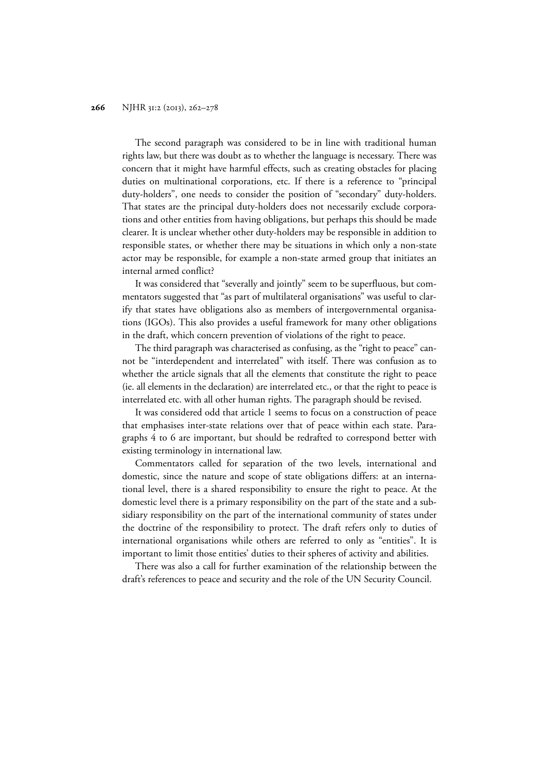The second paragraph was considered to be in line with traditional human rights law, but there was doubt as to whether the language is necessary. There was concern that it might have harmful effects, such as creating obstacles for placing duties on multinational corporations, etc. If there is a reference to "principal duty-holders", one needs to consider the position of "secondary" duty-holders. That states are the principal duty-holders does not necessarily exclude corporations and other entities from having obligations, but perhaps this should be made clearer. It is unclear whether other duty-holders may be responsible in addition to responsible states, or whether there may be situations in which only a non-state actor may be responsible, for example a non-state armed group that initiates an internal armed conflict?

It was considered that "severally and jointly" seem to be superfluous, but commentators suggested that "as part of multilateral organisations" was useful to clarify that states have obligations also as members of intergovernmental organisations (IGOs). This also provides a useful framework for many other obligations in the draft, which concern prevention of violations of the right to peace.

The third paragraph was characterised as confusing, as the "right to peace" cannot be "interdependent and interrelated" with itself. There was confusion as to whether the article signals that all the elements that constitute the right to peace (ie. all elements in the declaration) are interrelated etc., or that the right to peace is interrelated etc. with all other human rights. The paragraph should be revised.

It was considered odd that article 1 seems to focus on a construction of peace that emphasises inter-state relations over that of peace within each state. Paragraphs 4 to 6 are important, but should be redrafted to correspond better with existing terminology in international law.

Commentators called for separation of the two levels, international and domestic, since the nature and scope of state obligations differs: at an international level, there is a shared responsibility to ensure the right to peace. At the domestic level there is a primary responsibility on the part of the state and a subsidiary responsibility on the part of the international community of states under the doctrine of the responsibility to protect. The draft refers only to duties of international organisations while others are referred to only as "entities". It is important to limit those entities' duties to their spheres of activity and abilities.

There was also a call for further examination of the relationship between the draft's references to peace and security and the role of the UN Security Council.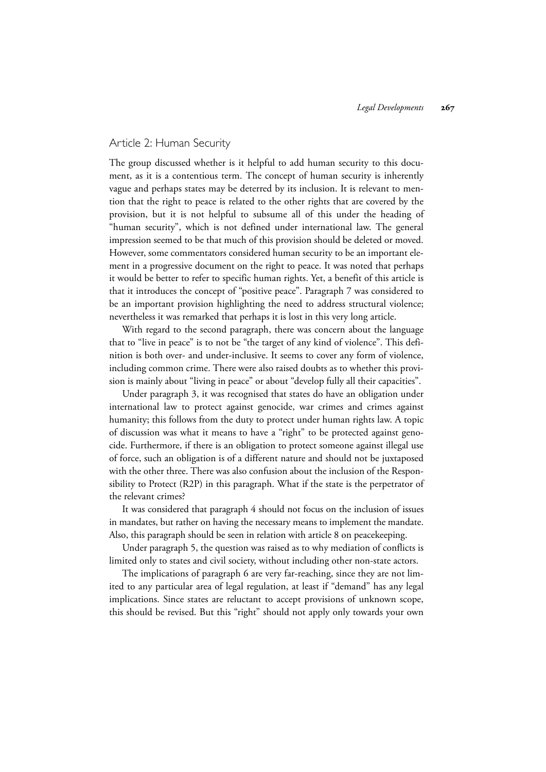#### Article 2: Human Security

The group discussed whether is it helpful to add human security to this document, as it is a contentious term. The concept of human security is inherently vague and perhaps states may be deterred by its inclusion. It is relevant to mention that the right to peace is related to the other rights that are covered by the provision, but it is not helpful to subsume all of this under the heading of "human security", which is not defined under international law. The general impression seemed to be that much of this provision should be deleted or moved. However, some commentators considered human security to be an important element in a progressive document on the right to peace. It was noted that perhaps it would be better to refer to specific human rights. Yet, a benefit of this article is that it introduces the concept of "positive peace". Paragraph 7 was considered to be an important provision highlighting the need to address structural violence; nevertheless it was remarked that perhaps it is lost in this very long article.

With regard to the second paragraph, there was concern about the language that to "live in peace" is to not be "the target of any kind of violence". This definition is both over- and under-inclusive. It seems to cover any form of violence, including common crime. There were also raised doubts as to whether this provision is mainly about "living in peace" or about "develop fully all their capacities".

Under paragraph 3, it was recognised that states do have an obligation under international law to protect against genocide, war crimes and crimes against humanity; this follows from the duty to protect under human rights law. A topic of discussion was what it means to have a "right" to be protected against genocide. Furthermore, if there is an obligation to protect someone against illegal use of force, such an obligation is of a different nature and should not be juxtaposed with the other three. There was also confusion about the inclusion of the Responsibility to Protect (R2P) in this paragraph. What if the state is the perpetrator of the relevant crimes?

It was considered that paragraph 4 should not focus on the inclusion of issues in mandates, but rather on having the necessary means to implement the mandate. Also, this paragraph should be seen in relation with article 8 on peacekeeping.

Under paragraph 5, the question was raised as to why mediation of conflicts is limited only to states and civil society, without including other non-state actors.

The implications of paragraph 6 are very far-reaching, since they are not limited to any particular area of legal regulation, at least if "demand" has any legal implications. Since states are reluctant to accept provisions of unknown scope, this should be revised. But this "right" should not apply only towards your own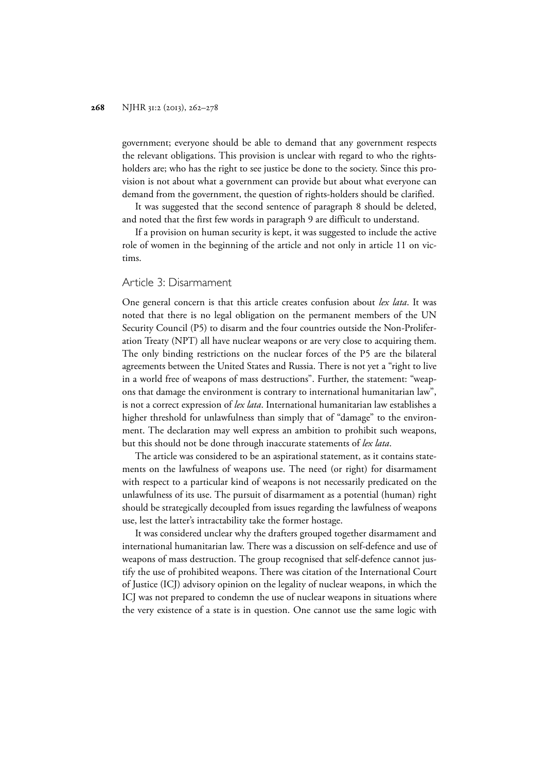government; everyone should be able to demand that any government respects the relevant obligations. This provision is unclear with regard to who the rightsholders are; who has the right to see justice be done to the society. Since this provision is not about what a government can provide but about what everyone can demand from the government, the question of rights-holders should be clarified.

It was suggested that the second sentence of paragraph 8 should be deleted, and noted that the first few words in paragraph 9 are difficult to understand.

If a provision on human security is kept, it was suggested to include the active role of women in the beginning of the article and not only in article 11 on victims.

#### Article 3: Disarmament

One general concern is that this article creates confusion about *lex lata*. It was noted that there is no legal obligation on the permanent members of the UN Security Council (P5) to disarm and the four countries outside the Non-Proliferation Treaty (NPT) all have nuclear weapons or are very close to acquiring them. The only binding restrictions on the nuclear forces of the P5 are the bilateral agreements between the United States and Russia. There is not yet a "right to live in a world free of weapons of mass destructions". Further, the statement: "weapons that damage the environment is contrary to international humanitarian law", is not a correct expression of *lex lata*. International humanitarian law establishes a higher threshold for unlawfulness than simply that of "damage" to the environment. The declaration may well express an ambition to prohibit such weapons, but this should not be done through inaccurate statements of *lex lata*.

The article was considered to be an aspirational statement, as it contains statements on the lawfulness of weapons use. The need (or right) for disarmament with respect to a particular kind of weapons is not necessarily predicated on the unlawfulness of its use. The pursuit of disarmament as a potential (human) right should be strategically decoupled from issues regarding the lawfulness of weapons use, lest the latter's intractability take the former hostage.

It was considered unclear why the drafters grouped together disarmament and international humanitarian law. There was a discussion on self-defence and use of weapons of mass destruction. The group recognised that self-defence cannot justify the use of prohibited weapons. There was citation of the International Court of Justice (ICJ) advisory opinion on the legality of nuclear weapons, in which the ICJ was not prepared to condemn the use of nuclear weapons in situations where the very existence of a state is in question. One cannot use the same logic with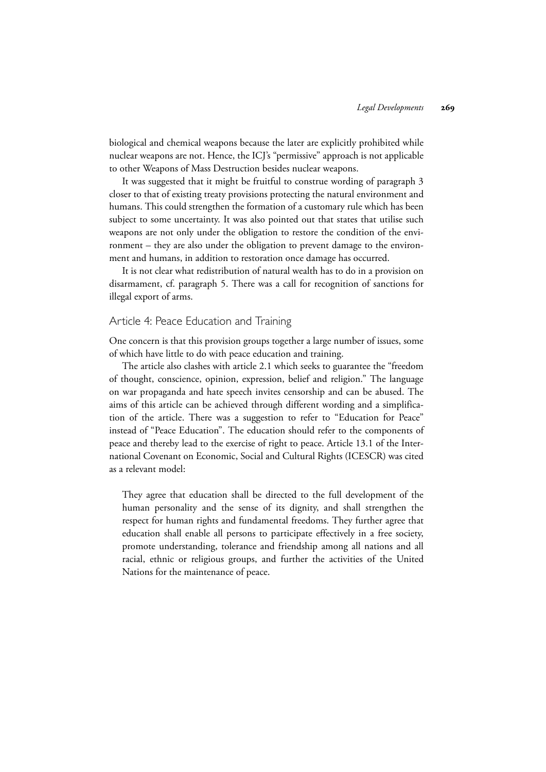biological and chemical weapons because the later are explicitly prohibited while nuclear weapons are not. Hence, the ICJ's "permissive" approach is not applicable to other Weapons of Mass Destruction besides nuclear weapons.

It was suggested that it might be fruitful to construe wording of paragraph 3 closer to that of existing treaty provisions protecting the natural environment and humans. This could strengthen the formation of a customary rule which has been subject to some uncertainty. It was also pointed out that states that utilise such weapons are not only under the obligation to restore the condition of the environment – they are also under the obligation to prevent damage to the environment and humans, in addition to restoration once damage has occurred.

It is not clear what redistribution of natural wealth has to do in a provision on disarmament, cf. paragraph 5. There was a call for recognition of sanctions for illegal export of arms.

#### Article 4: Peace Education and Training

One concern is that this provision groups together a large number of issues, some of which have little to do with peace education and training.

The article also clashes with article 2.1 which seeks to guarantee the "freedom of thought, conscience, opinion, expression, belief and religion." The language on war propaganda and hate speech invites censorship and can be abused. The aims of this article can be achieved through different wording and a simplification of the article. There was a suggestion to refer to "Education for Peace" instead of "Peace Education". The education should refer to the components of peace and thereby lead to the exercise of right to peace. Article 13.1 of the International Covenant on Economic, Social and Cultural Rights (ICESCR) was cited as a relevant model:

They agree that education shall be directed to the full development of the human personality and the sense of its dignity, and shall strengthen the respect for human rights and fundamental freedoms. They further agree that education shall enable all persons to participate effectively in a free society, promote understanding, tolerance and friendship among all nations and all racial, ethnic or religious groups, and further the activities of the United Nations for the maintenance of peace.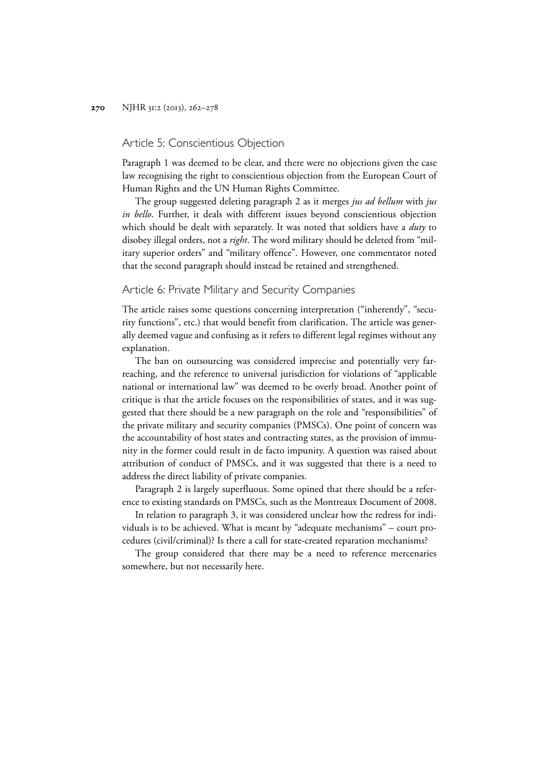#### Article 5: Conscientious Objection

Paragraph 1 was deemed to be clear, and there were no objections given the case law recognising the right to conscientious objection from the European Court of Human Rights and the UN Human Rights Committee.

The group suggested deleting paragraph 2 as it merges *jus ad bellum* with *jus in bello*. Further, it deals with different issues beyond conscientious objection which should be dealt with separately. It was noted that soldiers have a *duty* to disobey illegal orders, not a *right*. The word military should be deleted from "military superior orders" and "military offence". However, one commentator noted that the second paragraph should instead be retained and strengthened.

#### Article 6: Private Military and Security Companies

The article raises some questions concerning interpretation ("inherently", "security functions", etc.) that would benefit from clarification. The article was generally deemed vague and confusing as it refers to different legal regimes without any explanation.

The ban on outsourcing was considered imprecise and potentially very farreaching, and the reference to universal jurisdiction for violations of "applicable national or international law" was deemed to be overly broad. Another point of critique is that the article focuses on the responsibilities of states, and it was suggested that there should be a new paragraph on the role and "responsibilities" of the private military and security companies (PMSCs). One point of concern was the accountability of host states and contracting states, as the provision of immunity in the former could result in de facto impunity. A question was raised about attribution of conduct of PMSCs, and it was suggested that there is a need to address the direct liability of private companies.

Paragraph 2 is largely superfluous. Some opined that there should be a reference to existing standards on PMSCs, such as the Montreaux Document of 2008.

In relation to paragraph 3, it was considered unclear how the redress for individuals is to be achieved. What is meant by "adequate mechanisms" – court procedures (civil/criminal)? Is there a call for state-created reparation mechanisms?

The group considered that there may be a need to reference mercenaries somewhere, but not necessarily here.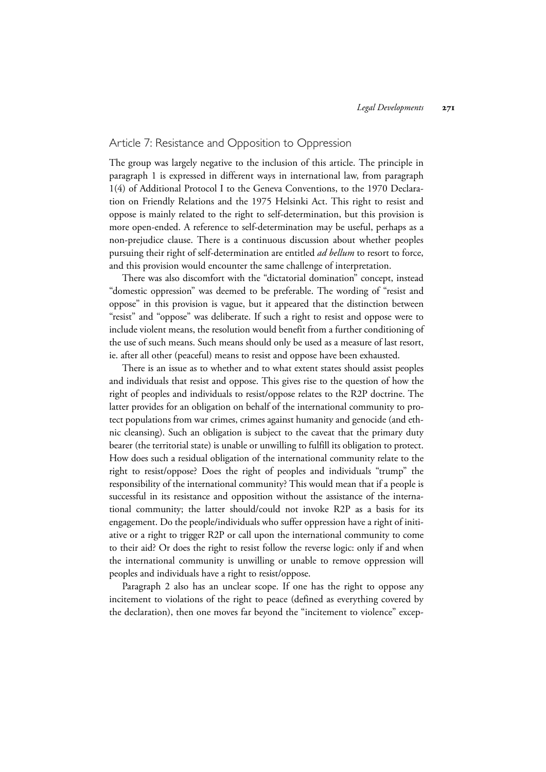## Article 7: Resistance and Opposition to Oppression

The group was largely negative to the inclusion of this article. The principle in paragraph 1 is expressed in different ways in international law, from paragraph 1(4) of Additional Protocol I to the Geneva Conventions, to the 1970 Declaration on Friendly Relations and the 1975 Helsinki Act. This right to resist and oppose is mainly related to the right to self-determination, but this provision is more open-ended. A reference to self-determination may be useful, perhaps as a non-prejudice clause. There is a continuous discussion about whether peoples pursuing their right of self-determination are entitled *ad bellum* to resort to force, and this provision would encounter the same challenge of interpretation.

There was also discomfort with the "dictatorial domination" concept, instead "domestic oppression" was deemed to be preferable. The wording of "resist and oppose" in this provision is vague, but it appeared that the distinction between "resist" and "oppose" was deliberate. If such a right to resist and oppose were to include violent means, the resolution would benefit from a further conditioning of the use of such means. Such means should only be used as a measure of last resort, ie. after all other (peaceful) means to resist and oppose have been exhausted.

There is an issue as to whether and to what extent states should assist peoples and individuals that resist and oppose. This gives rise to the question of how the right of peoples and individuals to resist/oppose relates to the R2P doctrine. The latter provides for an obligation on behalf of the international community to protect populations from war crimes, crimes against humanity and genocide (and ethnic cleansing). Such an obligation is subject to the caveat that the primary duty bearer (the territorial state) is unable or unwilling to fulfill its obligation to protect. How does such a residual obligation of the international community relate to the right to resist/oppose? Does the right of peoples and individuals "trump" the responsibility of the international community? This would mean that if a people is successful in its resistance and opposition without the assistance of the international community; the latter should/could not invoke R2P as a basis for its engagement. Do the people/individuals who suffer oppression have a right of initiative or a right to trigger R2P or call upon the international community to come to their aid? Or does the right to resist follow the reverse logic: only if and when the international community is unwilling or unable to remove oppression will peoples and individuals have a right to resist/oppose.

Paragraph 2 also has an unclear scope. If one has the right to oppose any incitement to violations of the right to peace (defined as everything covered by the declaration), then one moves far beyond the "incitement to violence" excep-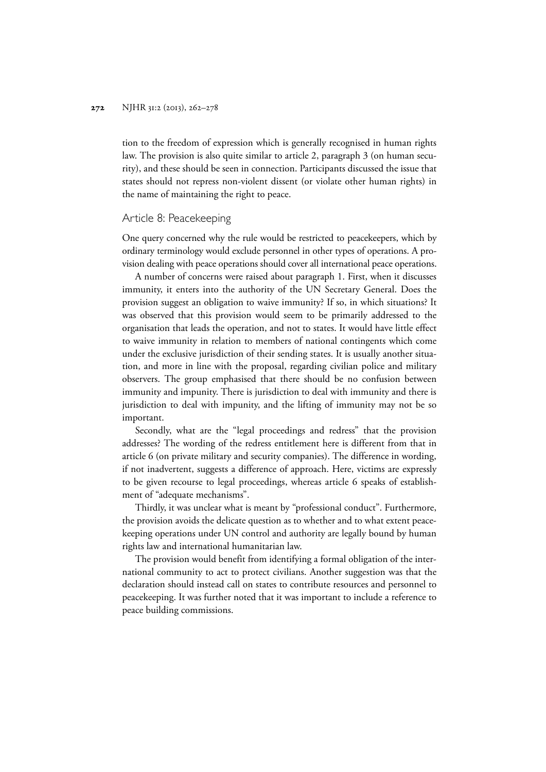tion to the freedom of expression which is generally recognised in human rights law. The provision is also quite similar to article 2, paragraph 3 (on human security), and these should be seen in connection. Participants discussed the issue that states should not repress non-violent dissent (or violate other human rights) in the name of maintaining the right to peace.

### Article 8: Peacekeeping

One query concerned why the rule would be restricted to peacekeepers, which by ordinary terminology would exclude personnel in other types of operations. A provision dealing with peace operations should cover all international peace operations.

A number of concerns were raised about paragraph 1. First, when it discusses immunity, it enters into the authority of the UN Secretary General. Does the provision suggest an obligation to waive immunity? If so, in which situations? It was observed that this provision would seem to be primarily addressed to the organisation that leads the operation, and not to states. It would have little effect to waive immunity in relation to members of national contingents which come under the exclusive jurisdiction of their sending states. It is usually another situation, and more in line with the proposal, regarding civilian police and military observers. The group emphasised that there should be no confusion between immunity and impunity. There is jurisdiction to deal with immunity and there is jurisdiction to deal with impunity, and the lifting of immunity may not be so important.

Secondly, what are the "legal proceedings and redress" that the provision addresses? The wording of the redress entitlement here is different from that in article 6 (on private military and security companies). The difference in wording, if not inadvertent, suggests a difference of approach. Here, victims are expressly to be given recourse to legal proceedings, whereas article 6 speaks of establishment of "adequate mechanisms".

Thirdly, it was unclear what is meant by "professional conduct". Furthermore, the provision avoids the delicate question as to whether and to what extent peacekeeping operations under UN control and authority are legally bound by human rights law and international humanitarian law.

The provision would benefit from identifying a formal obligation of the international community to act to protect civilians. Another suggestion was that the declaration should instead call on states to contribute resources and personnel to peacekeeping. It was further noted that it was important to include a reference to peace building commissions.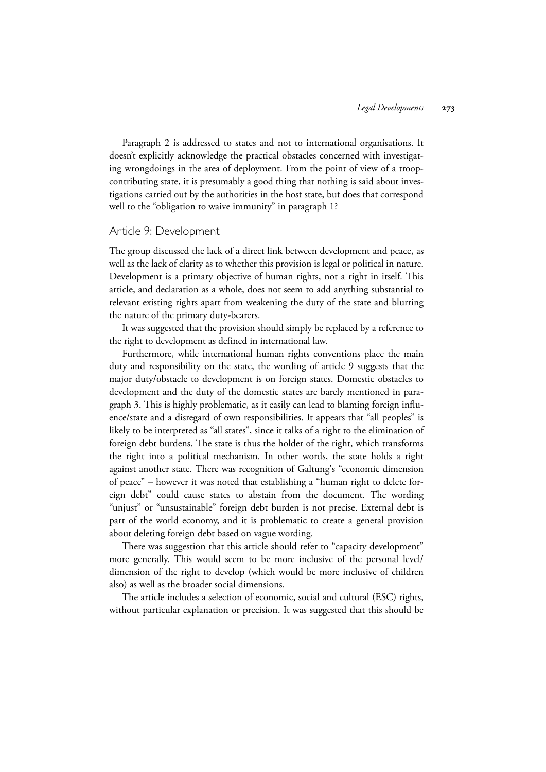Paragraph 2 is addressed to states and not to international organisations. It doesn't explicitly acknowledge the practical obstacles concerned with investigating wrongdoings in the area of deployment. From the point of view of a troopcontributing state, it is presumably a good thing that nothing is said about investigations carried out by the authorities in the host state, but does that correspond well to the "obligation to waive immunity" in paragraph 1?

#### Article 9: Development

The group discussed the lack of a direct link between development and peace, as well as the lack of clarity as to whether this provision is legal or political in nature. Development is a primary objective of human rights, not a right in itself. This article, and declaration as a whole, does not seem to add anything substantial to relevant existing rights apart from weakening the duty of the state and blurring the nature of the primary duty-bearers.

It was suggested that the provision should simply be replaced by a reference to the right to development as defined in international law.

Furthermore, while international human rights conventions place the main duty and responsibility on the state, the wording of article 9 suggests that the major duty/obstacle to development is on foreign states. Domestic obstacles to development and the duty of the domestic states are barely mentioned in paragraph 3. This is highly problematic, as it easily can lead to blaming foreign influence/state and a disregard of own responsibilities. It appears that "all peoples" is likely to be interpreted as "all states", since it talks of a right to the elimination of foreign debt burdens. The state is thus the holder of the right, which transforms the right into a political mechanism. In other words, the state holds a right against another state. There was recognition of Galtung's "economic dimension of peace" – however it was noted that establishing a "human right to delete foreign debt" could cause states to abstain from the document. The wording "unjust" or "unsustainable" foreign debt burden is not precise. External debt is part of the world economy, and it is problematic to create a general provision about deleting foreign debt based on vague wording.

There was suggestion that this article should refer to "capacity development" more generally. This would seem to be more inclusive of the personal level/ dimension of the right to develop (which would be more inclusive of children also) as well as the broader social dimensions.

The article includes a selection of economic, social and cultural (ESC) rights, without particular explanation or precision. It was suggested that this should be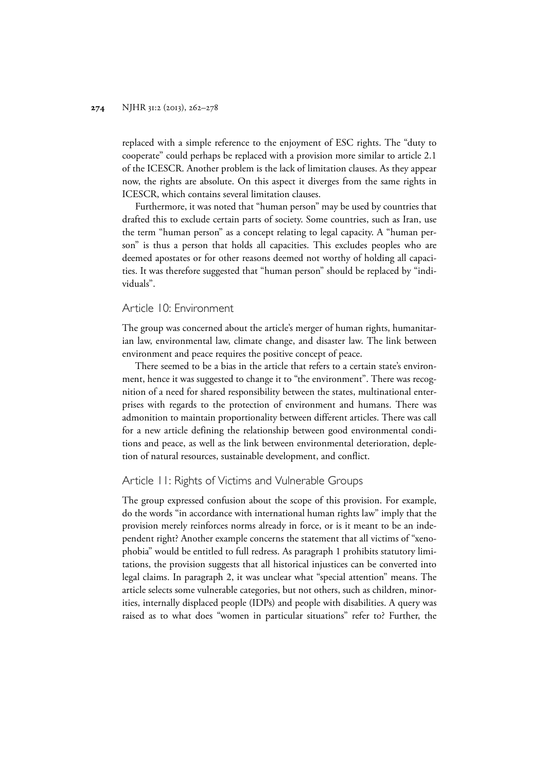replaced with a simple reference to the enjoyment of ESC rights. The "duty to cooperate" could perhaps be replaced with a provision more similar to article 2.1 of the ICESCR. Another problem is the lack of limitation clauses. As they appear now, the rights are absolute. On this aspect it diverges from the same rights in ICESCR, which contains several limitation clauses.

Furthermore, it was noted that "human person" may be used by countries that drafted this to exclude certain parts of society. Some countries, such as Iran, use the term "human person" as a concept relating to legal capacity. A "human person" is thus a person that holds all capacities. This excludes peoples who are deemed apostates or for other reasons deemed not worthy of holding all capacities. It was therefore suggested that "human person" should be replaced by "individuals".

#### Article 10: Environment

The group was concerned about the article's merger of human rights, humanitarian law, environmental law, climate change, and disaster law. The link between environment and peace requires the positive concept of peace.

There seemed to be a bias in the article that refers to a certain state's environment, hence it was suggested to change it to "the environment". There was recognition of a need for shared responsibility between the states, multinational enterprises with regards to the protection of environment and humans. There was admonition to maintain proportionality between different articles. There was call for a new article defining the relationship between good environmental conditions and peace, as well as the link between environmental deterioration, depletion of natural resources, sustainable development, and conflict.

## Article 11: Rights of Victims and Vulnerable Groups

The group expressed confusion about the scope of this provision. For example, do the words "in accordance with international human rights law" imply that the provision merely reinforces norms already in force, or is it meant to be an independent right? Another example concerns the statement that all victims of "xenophobia" would be entitled to full redress. As paragraph 1 prohibits statutory limitations, the provision suggests that all historical injustices can be converted into legal claims. In paragraph 2, it was unclear what "special attention" means. The article selects some vulnerable categories, but not others, such as children, minorities, internally displaced people (IDPs) and people with disabilities. A query was raised as to what does "women in particular situations" refer to? Further, the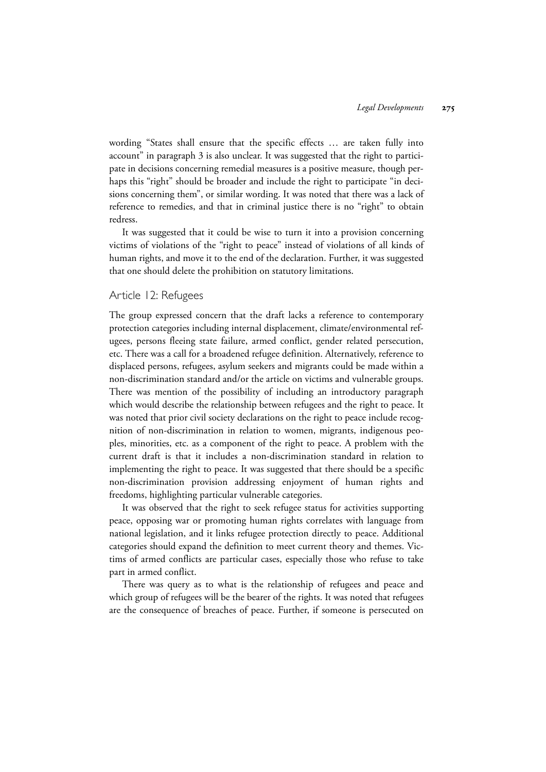wording "States shall ensure that the specific effects … are taken fully into account" in paragraph 3 is also unclear. It was suggested that the right to participate in decisions concerning remedial measures is a positive measure, though perhaps this "right" should be broader and include the right to participate "in decisions concerning them", or similar wording. It was noted that there was a lack of reference to remedies, and that in criminal justice there is no "right" to obtain redress.

It was suggested that it could be wise to turn it into a provision concerning victims of violations of the "right to peace" instead of violations of all kinds of human rights, and move it to the end of the declaration. Further, it was suggested that one should delete the prohibition on statutory limitations.

### Article 12: Refugees

The group expressed concern that the draft lacks a reference to contemporary protection categories including internal displacement, climate/environmental refugees, persons fleeing state failure, armed conflict, gender related persecution, etc. There was a call for a broadened refugee definition. Alternatively, reference to displaced persons, refugees, asylum seekers and migrants could be made within a non-discrimination standard and/or the article on victims and vulnerable groups. There was mention of the possibility of including an introductory paragraph which would describe the relationship between refugees and the right to peace. It was noted that prior civil society declarations on the right to peace include recognition of non-discrimination in relation to women, migrants, indigenous peoples, minorities, etc. as a component of the right to peace. A problem with the current draft is that it includes a non-discrimination standard in relation to implementing the right to peace. It was suggested that there should be a specific non-discrimination provision addressing enjoyment of human rights and freedoms, highlighting particular vulnerable categories.

It was observed that the right to seek refugee status for activities supporting peace, opposing war or promoting human rights correlates with language from national legislation, and it links refugee protection directly to peace. Additional categories should expand the definition to meet current theory and themes. Victims of armed conflicts are particular cases, especially those who refuse to take part in armed conflict.

There was query as to what is the relationship of refugees and peace and which group of refugees will be the bearer of the rights. It was noted that refugees are the consequence of breaches of peace. Further, if someone is persecuted on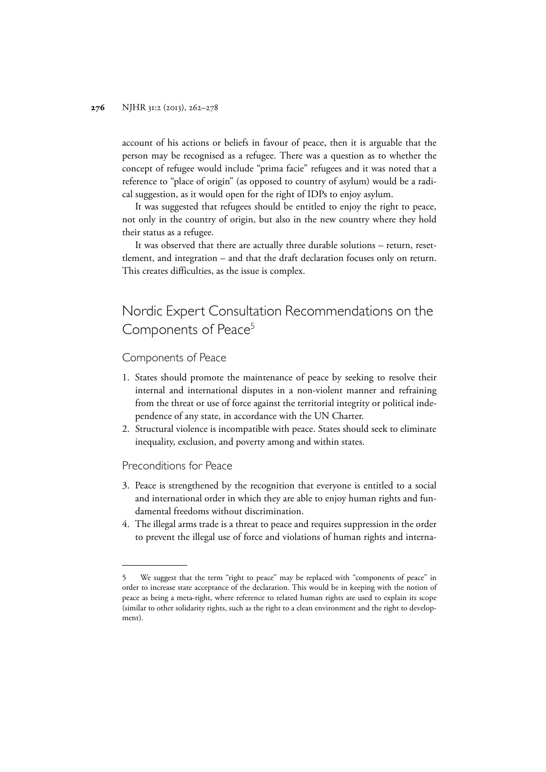account of his actions or beliefs in favour of peace, then it is arguable that the person may be recognised as a refugee. There was a question as to whether the concept of refugee would include "prima facie" refugees and it was noted that a reference to "place of origin" (as opposed to country of asylum) would be a radical suggestion, as it would open for the right of IDPs to enjoy asylum.

It was suggested that refugees should be entitled to enjoy the right to peace, not only in the country of origin, but also in the new country where they hold their status as a refugee.

It was observed that there are actually three durable solutions – return, resettlement, and integration – and that the draft declaration focuses only on return. This creates difficulties, as the issue is complex.

## Nordic Expert Consultation Recommendations on the Components of Peace<sup>5</sup>

#### Components of Peace

- 1. States should promote the maintenance of peace by seeking to resolve their internal and international disputes in a non-violent manner and refraining from the threat or use of force against the territorial integrity or political independence of any state, in accordance with the UN Charter.
- 2. Structural violence is incompatible with peace. States should seek to eliminate inequality, exclusion, and poverty among and within states.

#### Preconditions for Peace

- 3. Peace is strengthened by the recognition that everyone is entitled to a social and international order in which they are able to enjoy human rights and fundamental freedoms without discrimination.
- 4. The illegal arms trade is a threat to peace and requires suppression in the order to prevent the illegal use of force and violations of human rights and interna-

<sup>5</sup> We suggest that the term "right to peace" may be replaced with "components of peace" in order to increase state acceptance of the declaration. This would be in keeping with the notion of peace as being a meta-right, where reference to related human rights are used to explain its scope (similar to other solidarity rights, such as the right to a clean environment and the right to development).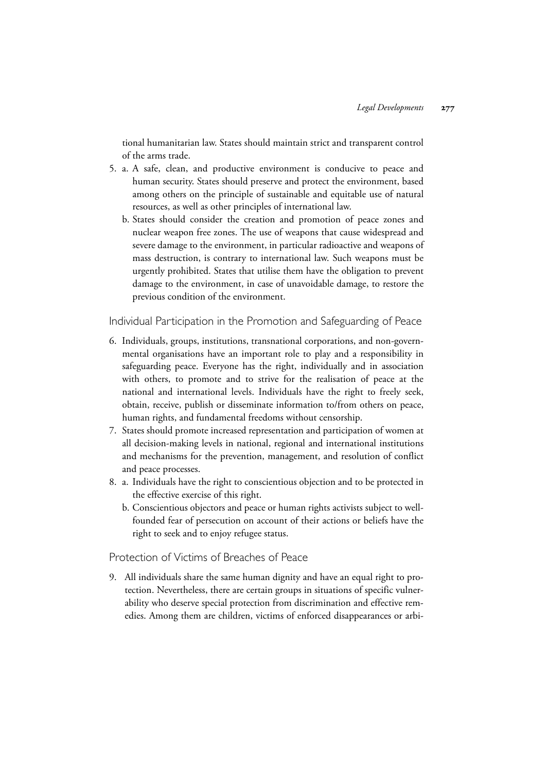tional humanitarian law. States should maintain strict and transparent control of the arms trade.

- 5. a. A safe, clean, and productive environment is conducive to peace and human security. States should preserve and protect the environment, based among others on the principle of sustainable and equitable use of natural resources, as well as other principles of international law.
	- b. States should consider the creation and promotion of peace zones and nuclear weapon free zones. The use of weapons that cause widespread and severe damage to the environment, in particular radioactive and weapons of mass destruction, is contrary to international law. Such weapons must be urgently prohibited. States that utilise them have the obligation to prevent damage to the environment, in case of unavoidable damage, to restore the previous condition of the environment.

Individual Participation in the Promotion and Safeguarding of Peace

- 6. Individuals, groups, institutions, transnational corporations, and non-governmental organisations have an important role to play and a responsibility in safeguarding peace. Everyone has the right, individually and in association with others, to promote and to strive for the realisation of peace at the national and international levels. Individuals have the right to freely seek, obtain, receive, publish or disseminate information to/from others on peace, human rights, and fundamental freedoms without censorship.
- 7. States should promote increased representation and participation of women at all decision-making levels in national, regional and international institutions and mechanisms for the prevention, management, and resolution of conflict and peace processes.
- 8. a. Individuals have the right to conscientious objection and to be protected in the effective exercise of this right.
	- b. Conscientious objectors and peace or human rights activists subject to wellfounded fear of persecution on account of their actions or beliefs have the right to seek and to enjoy refugee status.

## Protection of Victims of Breaches of Peace

9. All individuals share the same human dignity and have an equal right to protection. Nevertheless, there are certain groups in situations of specific vulnerability who deserve special protection from discrimination and effective remedies. Among them are children, victims of enforced disappearances or arbi